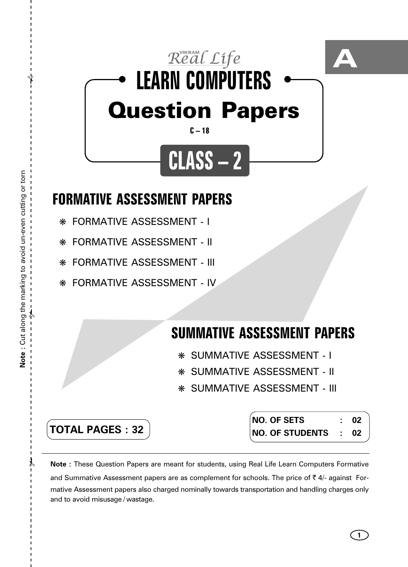

## **FORMATIVE ASSESSMENT PAPERS**

❋ FORMATIVE ASSESSMENT - I

❋ FORMATIVE ASSESSMENT - II

❋ FORMATIVE ASSESSMENT - III

❋ FORMATIVE ASSESSMENT - IV

## **SUMMATIVE ASSESSMENT PAPERS**

- ❋ SUMMATIVE ASSESSMENT I
- ❋ SUMMATIVE ASSESSMENT II
- ❋ SUMMATIVE ASSESSMENT III

**TOTAL PAGES : 32**

**NO. OF SETS : 02 NO. OF STUDENTS : 02**

**1**

**Note :** These Question Papers are meant for students, using Real Life Learn Computers Formative and Summative Assessment papers are as complement for schools. The price of  $\bar{\tau}$  4/- against Formative Assessment papers also charged nominally towards transportation and handling charges only and to avoid misusage / wastage.

 $\lambda$ 

✃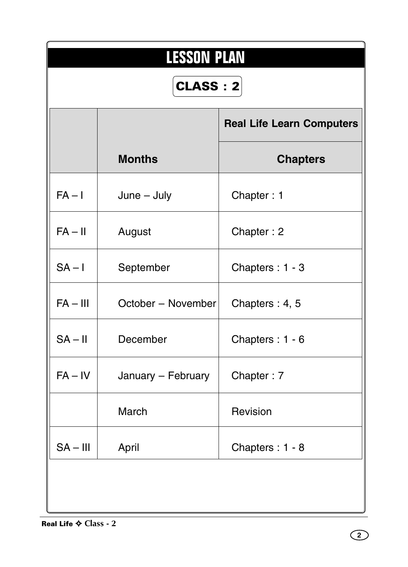|            | <b>LESSON PLAN</b><br><b>CLASS : 2</b> |                                  |  |  |  |  |  |  |  |  |  |
|------------|----------------------------------------|----------------------------------|--|--|--|--|--|--|--|--|--|
|            |                                        | <b>Real Life Learn Computers</b> |  |  |  |  |  |  |  |  |  |
|            | <b>Months</b>                          | <b>Chapters</b>                  |  |  |  |  |  |  |  |  |  |
| $FA - I$   | $June - July$                          | Chapter: 1                       |  |  |  |  |  |  |  |  |  |
| $FA - II$  | August                                 | Chapter: 2                       |  |  |  |  |  |  |  |  |  |
| $SA - I$   | September                              | Chapters: 1 - 3                  |  |  |  |  |  |  |  |  |  |
| $FA - III$ | October - November                     | Chapters: 4, 5                   |  |  |  |  |  |  |  |  |  |
| $SA - II$  | December                               | Chapters: 1 - 6                  |  |  |  |  |  |  |  |  |  |
| $FA - IV$  | January - February                     | Chapter: 7                       |  |  |  |  |  |  |  |  |  |
|            | March                                  | Revision                         |  |  |  |  |  |  |  |  |  |
| $SA - III$ | April                                  | Chapters: 1 - 8                  |  |  |  |  |  |  |  |  |  |
|            |                                        |                                  |  |  |  |  |  |  |  |  |  |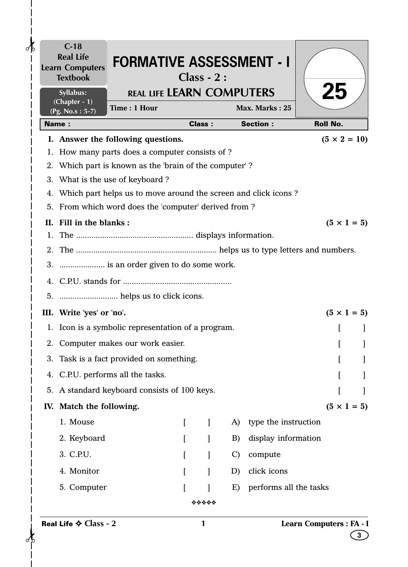|    | $C-18$<br><b>Real Life</b><br><b>Learn Computers</b><br><b>Textbook</b> | <b>FORMATIVE ASSESSMENT - I</b>                                                                      |          | $Class - 2:$  |               |                        |                          |                     |
|----|-------------------------------------------------------------------------|------------------------------------------------------------------------------------------------------|----------|---------------|---------------|------------------------|--------------------------|---------------------|
|    | Syllabus:<br>(Chapter - 1)                                              | <b>REAL LIFE LEARN COMPUTERS</b>                                                                     |          |               |               |                        | 25                       |                     |
|    | $(Pg. No.s: 5-7)$                                                       | Time: 1 Hour                                                                                         |          |               |               | Max. Marks: 25         |                          |                     |
|    | <b>Name:</b>                                                            |                                                                                                      |          | <b>Class:</b> |               | <b>Section:</b>        | <b>Roll No.</b>          |                     |
|    |                                                                         | I. Answer the following questions.                                                                   |          |               |               |                        |                          | $(5 \times 2 = 10)$ |
|    |                                                                         | 1. How many parts does a computer consists of ?                                                      |          |               |               |                        |                          |                     |
|    |                                                                         | 2. Which part is known as the 'brain of the computer'?                                               |          |               |               |                        |                          |                     |
|    |                                                                         | 3. What is the use of keyboard?<br>4. Which part helps us to move around the screen and click icons? |          |               |               |                        |                          |                     |
|    |                                                                         | 5. From which word does the 'computer' derived from?                                                 |          |               |               |                        |                          |                     |
|    | II. Fill in the blanks:                                                 |                                                                                                      |          |               |               |                        |                          | $(5 \times 1 = 5)$  |
|    |                                                                         |                                                                                                      |          |               |               |                        |                          |                     |
|    |                                                                         |                                                                                                      |          |               |               |                        |                          |                     |
|    |                                                                         | 3.  is an order given to do some work.                                                               |          |               |               |                        |                          |                     |
|    |                                                                         |                                                                                                      |          |               |               |                        |                          |                     |
|    |                                                                         |                                                                                                      |          |               |               |                        |                          |                     |
|    | III. Write 'yes' or 'no'.                                               |                                                                                                      |          |               |               |                        |                          | $(5 \times 1 = 5)$  |
|    |                                                                         | 1. Icon is a symbolic representation of a program.                                                   |          |               |               |                        |                          |                     |
|    |                                                                         | 2. Computer makes our work easier.                                                                   |          |               |               |                        |                          |                     |
| 3. |                                                                         | Task is a fact provided on something.                                                                |          |               |               |                        |                          |                     |
|    |                                                                         | 4. C.P.U. performs all the tasks.                                                                    |          |               |               |                        |                          |                     |
|    |                                                                         | 5. A standard keyboard consists of 100 keys.                                                         |          |               |               |                        |                          |                     |
|    | IV. Match the following.                                                |                                                                                                      |          |               |               |                        |                          | $(5 \times 1 = 5)$  |
|    | 1. Mouse                                                                |                                                                                                      | $\Gamma$ | 1             | A)            | type the instruction   |                          |                     |
|    | 2. Keyboard                                                             |                                                                                                      |          |               | B)            | display information    |                          |                     |
|    | 3. C.P.U.                                                               |                                                                                                      |          |               |               |                        |                          |                     |
|    |                                                                         |                                                                                                      |          |               | $\mathcal{C}$ | compute                |                          |                     |
|    | 4. Monitor                                                              |                                                                                                      |          |               | D)            | click icons            |                          |                     |
|    | 5. Computer                                                             |                                                                                                      |          |               | E)            | performs all the tasks |                          |                     |
|    |                                                                         |                                                                                                      |          | *****         |               |                        |                          |                     |
|    | Real Life $\diamond$ Class - 2                                          |                                                                                                      |          | 1             |               |                        | Learn Computers : FA - I | 3                   |

 $\frac{1}{1}$ 

 $\mathbf{I}$  $\overline{\phantom{a}}$  $\mathsf{l}$  $\overline{1}$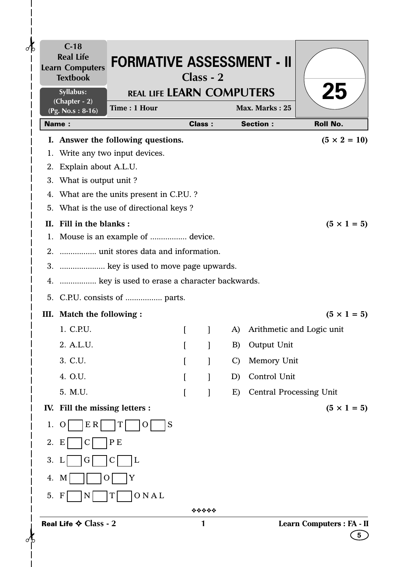| $\partial\mathbf{b}$ |    | $C-18$<br><b>Real Life</b><br><b>Learn Computers</b><br><b>Textbook</b> | <b>FORMATIVE ASSESSMENT - II</b>                |              | $Class - 2$   |               |                                |                                |
|----------------------|----|-------------------------------------------------------------------------|-------------------------------------------------|--------------|---------------|---------------|--------------------------------|--------------------------------|
|                      |    | Syllabus:<br>$(Chapter - 2)$                                            | <b>REAL LIFE LEARN COMPUTERS</b>                |              |               |               |                                | <b>25</b>                      |
|                      |    | (Pg. No.s: 8-16)                                                        | Time: 1 Hour                                    |              |               |               | Max. Marks: 25                 |                                |
|                      |    | <b>Name:</b>                                                            |                                                 |              | <b>Class:</b> |               | <b>Section:</b>                | <b>Roll No.</b>                |
|                      |    |                                                                         | I. Answer the following questions.              |              |               |               |                                | $(5 \times 2 = 10)$            |
|                      |    |                                                                         | 1. Write any two input devices.                 |              |               |               |                                |                                |
|                      |    | 2. Explain about A.L.U.                                                 |                                                 |              |               |               |                                |                                |
|                      |    | 3. What is output unit?                                                 |                                                 |              |               |               |                                |                                |
|                      |    |                                                                         | 4. What are the units present in C.P.U. ?       |              |               |               |                                |                                |
|                      |    |                                                                         | 5. What is the use of directional keys?         |              |               |               |                                |                                |
|                      |    | II. Fill in the blanks:                                                 | 1. Mouse is an example of  device.              |              |               |               |                                | $(5 \times 1 = 5)$             |
|                      |    |                                                                         |                                                 |              |               |               |                                |                                |
|                      |    |                                                                         | 3.  key is used to move page upwards.           |              |               |               |                                |                                |
|                      |    |                                                                         | 4.  key is used to erase a character backwards. |              |               |               |                                |                                |
|                      |    |                                                                         | 5. C.P.U. consists of  parts.                   |              |               |               |                                |                                |
|                      |    |                                                                         |                                                 |              |               |               |                                |                                |
|                      |    | III. Match the following :<br>1. C.P.U.                                 |                                                 |              |               |               | A) Arithmetic and Logic unit   | $(5 \times 1 = 5)$             |
|                      |    |                                                                         |                                                 | $\mathbf{I}$ | $\mathbf{I}$  |               |                                |                                |
|                      |    | 2. A.L.U.                                                               |                                                 |              |               | B)            | Output Unit                    |                                |
|                      |    | 3. C.U.                                                                 |                                                 |              |               | $\mathcal{C}$ | Memory Unit                    |                                |
|                      |    | 4. O.U.                                                                 |                                                 |              |               | D)            | Control Unit                   |                                |
|                      |    | 5. M.U.                                                                 |                                                 |              |               | E)            | <b>Central Processing Unit</b> |                                |
|                      |    | IV. Fill the missing letters :                                          |                                                 |              |               |               |                                | $(5 \times 1 = 5)$             |
|                      | 1. | E R<br>$\circ$                                                          | S<br>Τ<br>O                                     |              |               |               |                                |                                |
|                      | 2. | E                                                                       | P E                                             |              |               |               |                                |                                |
|                      | 3. | Ġ<br>L                                                                  | L                                               |              |               |               |                                |                                |
|                      | 4. | M                                                                       | Y                                               |              |               |               |                                |                                |
|                      | 5. | F<br>N                                                                  | ONAL<br>Τ                                       |              |               |               |                                |                                |
|                      |    |                                                                         |                                                 |              | *****         |               |                                |                                |
| ďτ                   |    | Real Life $\diamond$ Class - 2                                          |                                                 |              | 1             |               |                                | Learn Computers : FA - II<br>5 |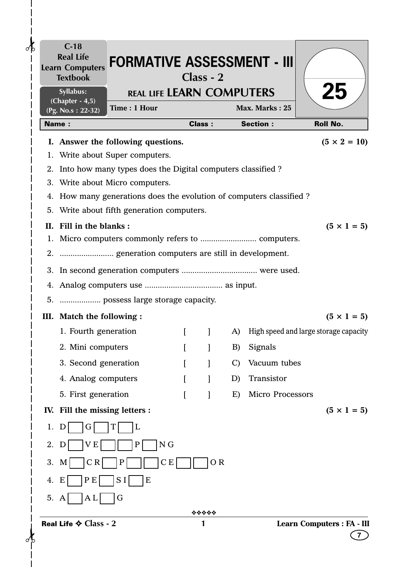| $\partial _{b}$ |    | $C-18$<br><b>Real Life</b><br><b>Learn Computers</b><br><b>Textbook</b> | <b>FORMATIVE ASSESSMENT - III</b>                                   |          | Class - 2     |               |                         |                                       |
|-----------------|----|-------------------------------------------------------------------------|---------------------------------------------------------------------|----------|---------------|---------------|-------------------------|---------------------------------------|
|                 |    | Syllabus:<br>$(Chapter - 4, 5)$                                         | <b>REAL LIFE LEARN COMPUTERS</b>                                    |          |               |               |                         | <b>25</b>                             |
|                 |    | (Pg. No.s: 22-32)                                                       | Time: 1 Hour                                                        |          |               |               | Max. Marks: 25          |                                       |
|                 |    | <b>Name:</b>                                                            |                                                                     |          | <b>Class:</b> |               | <b>Section:</b>         | <b>Roll No.</b>                       |
|                 |    |                                                                         | I. Answer the following questions.                                  |          |               |               |                         | $(5 \times 2 = 10)$                   |
|                 |    |                                                                         | 1. Write about Super computers.                                     |          |               |               |                         |                                       |
|                 |    |                                                                         | 2. Into how many types does the Digital computers classified?       |          |               |               |                         |                                       |
|                 |    |                                                                         | 3. Write about Micro computers.                                     |          |               |               |                         |                                       |
|                 |    |                                                                         | 4. How many generations does the evolution of computers classified? |          |               |               |                         |                                       |
|                 |    |                                                                         | 5. Write about fifth generation computers.                          |          |               |               |                         |                                       |
|                 |    | II. Fill in the blanks:                                                 |                                                                     |          |               |               |                         | $(5 \times 1 = 5)$                    |
|                 |    |                                                                         |                                                                     |          |               |               |                         |                                       |
|                 |    |                                                                         |                                                                     |          |               |               |                         |                                       |
|                 |    |                                                                         |                                                                     |          |               |               |                         |                                       |
|                 |    |                                                                         |                                                                     |          |               |               |                         |                                       |
|                 |    |                                                                         | 5.  possess large storage capacity.                                 |          |               |               |                         |                                       |
|                 |    | III. Match the following :                                              |                                                                     |          |               |               |                         | $(5 \times 1 = 5)$                    |
|                 |    | 1. Fourth generation                                                    |                                                                     | $\Gamma$ | $\mathbf{I}$  | A)            |                         | High speed and large storage capacity |
|                 |    | 2. Mini computers                                                       |                                                                     |          |               | B)            | Signals                 |                                       |
|                 |    | 3. Second generation                                                    |                                                                     |          |               | $\mathcal{C}$ | Vacuum tubes            |                                       |
|                 |    | 4. Analog computers                                                     |                                                                     |          |               | D)            | Transistor              |                                       |
|                 |    | 5. First generation                                                     |                                                                     |          |               | E)            | <b>Micro Processors</b> |                                       |
|                 |    | IV. Fill the missing letters :                                          |                                                                     |          |               |               |                         | $(5 \times 1 = 5)$                    |
|                 | 1. | G<br>Ð                                                                  | L                                                                   |          |               |               |                         |                                       |
|                 | 2. | V E                                                                     | N <sub>G</sub><br>$\mathbf P$                                       |          |               |               |                         |                                       |
|                 | 3. | C R<br>M                                                                | P                                                                   | СE       | OR            |               |                         |                                       |
|                 | 4. | P E<br>E                                                                | S I<br>E                                                            |          |               |               |                         |                                       |
|                 | 5. | A L<br>A                                                                | G                                                                   |          |               |               |                         |                                       |
|                 |    |                                                                         |                                                                     |          | *****         |               |                         |                                       |
|                 |    | Real Life $\diamond$ Class - 2                                          |                                                                     |          |               |               |                         | <b>Learn Computers : FA - III</b>     |
|                 |    |                                                                         |                                                                     |          |               |               |                         |                                       |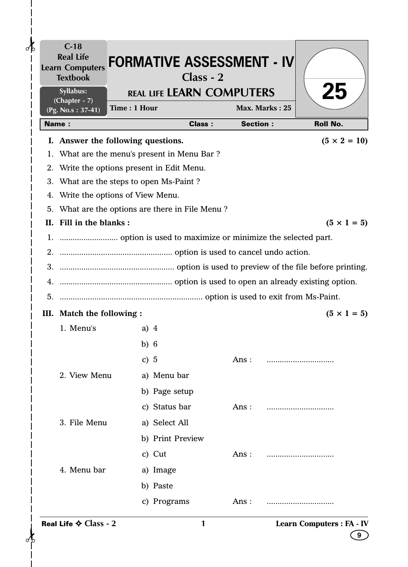|              | <b>Real Life</b><br><b>Learn Computers</b><br><b>Textbook</b> | <b>FORMATIVE ASSESSMENT - IV</b>                | $Class - 2$   |                 |                |                     |
|--------------|---------------------------------------------------------------|-------------------------------------------------|---------------|-----------------|----------------|---------------------|
|              | Syllabus:                                                     | <b>REAL LIFE LEARN COMPUTERS</b>                |               |                 |                | <b>Z5</b>           |
|              | (Chapter - 7)<br>(Pg. No.s: 37-41)                            | Time: 1 Hour                                    |               |                 | Max. Marks: 25 |                     |
| <b>Name:</b> |                                                               |                                                 | <b>Class:</b> | <b>Section:</b> |                | <b>Roll No.</b>     |
|              |                                                               | I. Answer the following questions.              |               |                 |                | $(5 \times 2 = 10)$ |
|              |                                                               | 1. What are the menu's present in Menu Bar?     |               |                 |                |                     |
|              |                                                               | 2. Write the options present in Edit Menu.      |               |                 |                |                     |
| 3.           |                                                               | What are the steps to open Ms-Paint?            |               |                 |                |                     |
| 4.           |                                                               | Write the options of View Menu.                 |               |                 |                |                     |
|              |                                                               | 5. What are the options are there in File Menu? |               |                 |                |                     |
|              | II. Fill in the blanks:                                       |                                                 |               |                 |                | $(5 \times 1 = 5)$  |
|              |                                                               |                                                 |               |                 |                |                     |
|              |                                                               |                                                 |               |                 |                |                     |
|              |                                                               |                                                 |               |                 |                |                     |
|              |                                                               |                                                 |               |                 |                |                     |
|              |                                                               |                                                 |               |                 |                |                     |
|              | III. Match the following :                                    |                                                 |               |                 |                | $(5 \times 1 = 5)$  |
|              | 1. Menu's                                                     | a) $4$                                          |               |                 |                |                     |
|              |                                                               | b) $6$                                          |               |                 |                |                     |
|              |                                                               | c) $5$                                          |               | Ans:            |                |                     |
|              | 2. View Menu                                                  | a) Menu bar                                     |               |                 |                |                     |
|              |                                                               |                                                 |               |                 |                |                     |
|              |                                                               | b) Page setup                                   |               |                 |                |                     |
|              |                                                               | c) Status bar                                   |               | Ans:            |                |                     |
|              | 3. File Menu                                                  | a) Select All                                   |               |                 |                |                     |
|              |                                                               | b) Print Preview                                |               |                 |                |                     |
|              |                                                               | c) Cut                                          |               | Ans :           |                |                     |
|              | 4. Menu bar                                                   | a) Image                                        |               |                 |                |                     |
|              |                                                               | b) Paste                                        |               |                 |                |                     |
|              |                                                               | c) Programs                                     |               | Ans:            |                |                     |
|              |                                                               |                                                 |               |                 |                |                     |

 $\mathbf{I}$  $\overline{\phantom{a}}$  $\mathsf{l}$  $\overline{1}$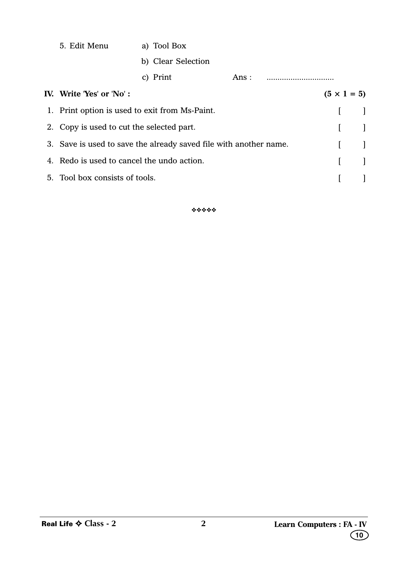| 5. Edit Menu                                   | a) Tool Box                                                       |      |  |  |
|------------------------------------------------|-------------------------------------------------------------------|------|--|--|
|                                                | b) Clear Selection                                                |      |  |  |
|                                                | c) Print                                                          | Ans: |  |  |
| IV. Write 'Yes' or 'No':                       | $(5 \times 1 = 5)$                                                |      |  |  |
| 1. Print option is used to exit from Ms-Paint. |                                                                   |      |  |  |
| 2. Copy is used to cut the selected part.      |                                                                   |      |  |  |
|                                                | 3. Save is used to save the already saved file with another name. |      |  |  |
| 4. Redo is used to cancel the undo action.     |                                                                   |      |  |  |
| 5. Tool box consists of tools.                 |                                                                   |      |  |  |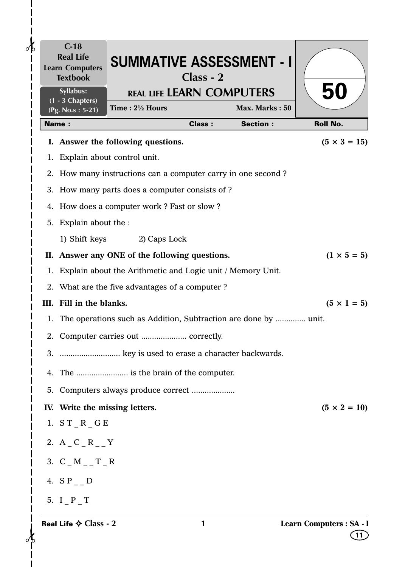| ⊲թ | $C-18$<br><b>Real Life</b><br><b>Learn Computers</b><br><b>Textbook</b> | <b>SUMMATIVE ASSESSMENT - I</b>                                 | $Class - 2$   |                 |                                |
|----|-------------------------------------------------------------------------|-----------------------------------------------------------------|---------------|-----------------|--------------------------------|
|    | Syllabus:<br>$\overline{(1 - 3 \text{ Chapters})}$                      | <b>REAL LIFE LEARN COMPUTERS</b>                                |               |                 | 50                             |
|    | (Pg. No.s: 5-21)                                                        | Time: 21/2 Hours                                                |               | Max. Marks: 50  |                                |
|    | <b>Name:</b>                                                            |                                                                 | <b>Class:</b> | <b>Section:</b> | <b>Roll No.</b>                |
|    |                                                                         | I. Answer the following questions.                              |               |                 | $(5 \times 3 = 15)$            |
|    |                                                                         | 1. Explain about control unit.                                  |               |                 |                                |
|    |                                                                         | 2. How many instructions can a computer carry in one second?    |               |                 |                                |
|    |                                                                         | 3. How many parts does a computer consists of ?                 |               |                 |                                |
|    |                                                                         | 4. How does a computer work? Fast or slow?                      |               |                 |                                |
|    | 5. Explain about the :                                                  |                                                                 |               |                 |                                |
|    |                                                                         | 1) Shift keys 2) Caps Lock                                      |               |                 |                                |
|    |                                                                         | II. Answer any ONE of the following questions.                  |               |                 | $(1 \times 5 = 5)$             |
|    |                                                                         | 1. Explain about the Arithmetic and Logic unit / Memory Unit.   |               |                 |                                |
|    |                                                                         | 2. What are the five advantages of a computer?                  |               |                 |                                |
|    | III. Fill in the blanks.                                                |                                                                 |               |                 | $(5 \times 1 = 5)$             |
| 1. |                                                                         | The operations such as Addition, Subtraction are done by  unit. |               |                 |                                |
|    |                                                                         |                                                                 |               |                 |                                |
|    |                                                                         | 3.  key is used to erase a character backwards.                 |               |                 |                                |
| 4. |                                                                         |                                                                 |               |                 |                                |
|    |                                                                         | 5. Computers always produce correct                             |               |                 |                                |
|    | IV. Write the missing letters.                                          |                                                                 |               |                 | $(5 \times 2 = 10)$            |
|    | 1. $ST_R_GE$                                                            |                                                                 |               |                 |                                |
|    | 2. $A_C_C_R$                                                            |                                                                 |               |                 |                                |
|    | 3. $C_M_{--}T_R$                                                        |                                                                 |               |                 |                                |
|    | 4. $S_{P_ - D}$                                                         |                                                                 |               |                 |                                |
|    | 5. I P T                                                                |                                                                 |               |                 |                                |
|    | Real Life $\diamond$ Class - 2                                          |                                                                 | 1             |                 | Learn Computers : SA - I<br>11 |

 $\mathbf{I}$  $\mathsf{l}$  $\mathbf l$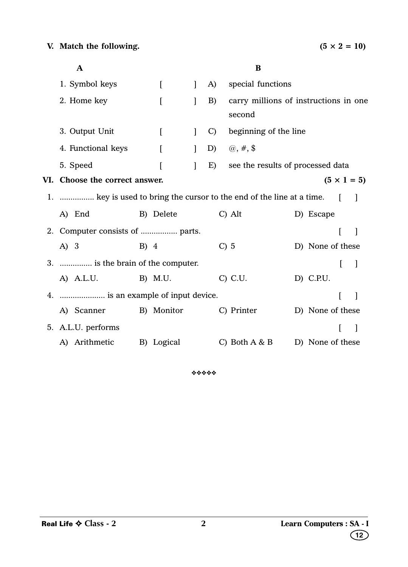| A                                                                     |        |              |              |               | B                                               |                  |   |                    |
|-----------------------------------------------------------------------|--------|--------------|--------------|---------------|-------------------------------------------------|------------------|---|--------------------|
| 1. Symbol keys                                                        |        | $\mathbf{I}$ | $\mathbf{I}$ | A)            | special functions                               |                  |   |                    |
| 2. Home key                                                           |        | ſ            | 1            | B)            | carry millions of instructions in one<br>second |                  |   |                    |
| 3. Output Unit                                                        |        | L            | $\mathbf{I}$ | $\mathcal{C}$ | beginning of the line                           |                  |   |                    |
| 4. Functional keys                                                    |        | L            | $\mathbf{I}$ | D)            | $\omega, \#$ , \$                               |                  |   |                    |
| 5. Speed                                                              |        |              | 1            | E)            | see the results of processed data               |                  |   |                    |
| VI. Choose the correct answer.                                        |        |              |              |               |                                                 |                  |   | $(5 \times 1 = 5)$ |
| 1.  key is used to bring the cursor to the end of the line at a time. |        |              |              |               |                                                 |                  |   |                    |
| A) End                                                                |        | B) Delete    |              |               | $C)$ Alt                                        | D) Escape        |   |                    |
| 2. Computer consists of  parts.                                       |        |              |              |               |                                                 |                  |   | $\mathbf{I}$       |
| A) 3                                                                  | $B)$ 4 |              |              |               | $C$ ) 5                                         | D) None of these |   |                    |
| 3.  is the brain of the computer.                                     |        |              |              |               |                                                 |                  | ſ |                    |
| A) A.L.U.                                                             |        | B) M.U.      |              |               | C) C.U.                                         | D) C.P.U.        |   |                    |
| 4.  is an example of input device.                                    |        |              |              |               |                                                 |                  |   |                    |
| A) Scanner                                                            |        | B) Monitor   |              |               | C) Printer                                      | D) None of these |   |                    |
| 5. A.L.U. performs                                                    |        |              |              |               |                                                 |                  |   | $\blacksquare$     |
| A) Arithmetic                                                         |        | B) Logical   |              |               | C) Both $A & B$                                 | D) None of these |   |                    |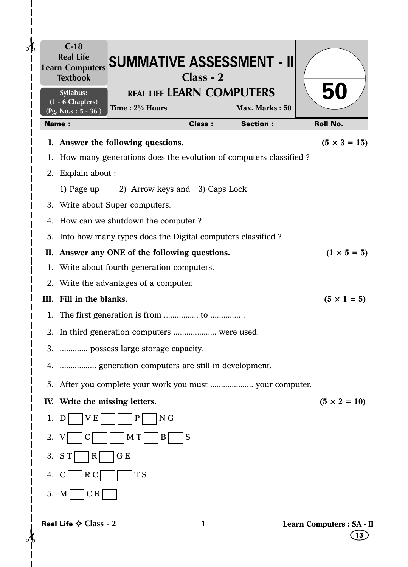|              | $C-18$<br><b>Textbook</b>                 | Learn Computers SUMMATIVE ASSESSMENT - II                           | $Class - 2$   |                 |                                 |
|--------------|-------------------------------------------|---------------------------------------------------------------------|---------------|-----------------|---------------------------------|
|              | Syllabus:                                 | <b>REAL LIFE LEARN COMPUTERS</b>                                    |               |                 | 50                              |
|              | (1 - 6 Chapters)<br>(Pg. No.s: $5 - 36$ ) | Time: 21/2 Hours                                                    |               | Max. Marks: 50  |                                 |
| <b>Name:</b> |                                           |                                                                     | <b>Class:</b> | <b>Section:</b> | <b>Roll No.</b>                 |
|              |                                           | I. Answer the following questions.                                  |               |                 | $(5 \times 3 = 15)$             |
|              |                                           | 1. How many generations does the evolution of computers classified? |               |                 |                                 |
|              | 2. Explain about :                        |                                                                     |               |                 |                                 |
|              | 1) Page up                                | 2) Arrow keys and 3) Caps Lock                                      |               |                 |                                 |
|              |                                           | 3. Write about Super computers.                                     |               |                 |                                 |
|              |                                           | 4. How can we shutdown the computer?                                |               |                 |                                 |
| 5.           |                                           | Into how many types does the Digital computers classified?          |               |                 |                                 |
|              |                                           | II. Answer any ONE of the following questions.                      |               |                 | $(1 \times 5 = 5)$              |
| 1.           |                                           | Write about fourth generation computers.                            |               |                 |                                 |
|              |                                           | 2. Write the advantages of a computer.                              |               |                 |                                 |
|              | III. Fill in the blanks.                  |                                                                     |               |                 | $(5 \times 1 = 5)$              |
|              |                                           |                                                                     |               |                 |                                 |
|              |                                           | 2. In third generation computers  were used.                        |               |                 |                                 |
|              |                                           | 3.  possess large storage capacity.                                 |               |                 |                                 |
|              |                                           | 4.  generation computers are still in development.                  |               |                 |                                 |
|              |                                           |                                                                     |               |                 |                                 |
|              |                                           | IV. Write the missing letters.                                      |               |                 | $(5 \times 2 = 10)$             |
| 1.<br>D      | V E                                       | N <sub>G</sub><br>$\mathbf P$                                       |               |                 |                                 |
| 2.           |                                           | M T<br>B                                                            | S             |                 |                                 |
|              |                                           |                                                                     |               |                 |                                 |
| 3.<br>S T    | R                                         | G E                                                                 |               |                 |                                 |
| 4.           | R <sub>C</sub>                            | T <sub>S</sub>                                                      |               |                 |                                 |
| 5. M         | CR                                        |                                                                     |               |                 |                                 |
|              | Real Life $\diamond$ Class - 2            |                                                                     | 1             |                 | Learn Computers : SA - II<br>13 |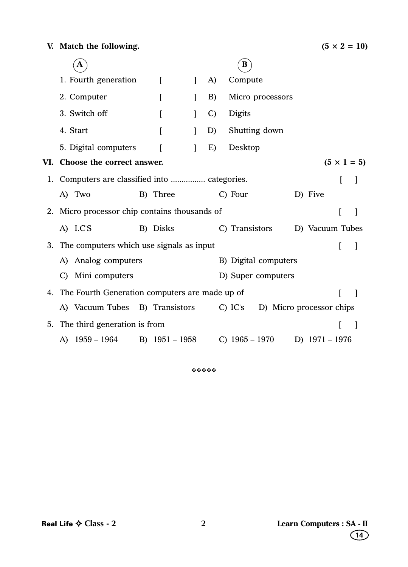|    | $\mathbf A$                                       |                  |              |               | $\bf{B}$                            |                  |   |                    |
|----|---------------------------------------------------|------------------|--------------|---------------|-------------------------------------|------------------|---|--------------------|
|    | 1. Fourth generation                              | L                | $\mathbf{I}$ | A)            | Compute                             |                  |   |                    |
|    | 2. Computer                                       | $\left[ \right]$ | 1            | B)            | Micro processors                    |                  |   |                    |
|    | 3. Switch off                                     | L                | 1            | $\mathcal{C}$ | <b>Digits</b>                       |                  |   |                    |
|    | 4. Start                                          | L                |              | D)            | Shutting down                       |                  |   |                    |
|    | 5. Digital computers                              |                  |              | E)            | Desktop                             |                  |   |                    |
|    | VI. Choose the correct answer.                    |                  |              |               |                                     |                  |   | $(5 \times 1 = 5)$ |
|    | 1. Computers are classified into  categories.     |                  |              |               |                                     |                  | ſ |                    |
|    | A) Two                                            | B) Three         |              |               | C) Four                             | D) Five          |   |                    |
|    | 2. Micro processor chip contains thousands of     |                  |              |               |                                     |                  | ſ | 1                  |
|    | A) I.C'S                                          | B) Disks         |              |               | C) Transistors                      | D) Vacuum Tubes  |   |                    |
|    | 3. The computers which use signals as input       |                  |              |               |                                     |                  |   |                    |
|    | A) Analog computers                               |                  |              |               | B) Digital computers                |                  |   |                    |
|    | C) Mini computers                                 |                  |              |               | D) Super computers                  |                  |   |                    |
|    | 4. The Fourth Generation computers are made up of |                  |              |               |                                     |                  |   | $\mathbf{I}$       |
|    | A) Vacuum Tubes B) Transistors                    |                  |              |               | C) IC's<br>D) Micro processor chips |                  |   |                    |
| 5. | The third generation is from                      |                  |              |               |                                     |                  |   |                    |
|    | A) 1959 – 1964                                    | B) $1951 - 1958$ |              |               | C) $1965 - 1970$                    | D) $1971 - 1976$ |   |                    |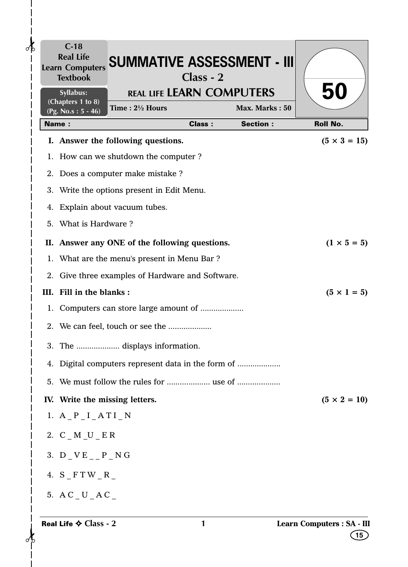| $C-18$<br><b>Real Life</b><br><b>SUMMATIVE ASSESSMENT - III</b><br><b>Learn Computers</b><br>$Class - 2$<br><b>Textbook</b><br><b>REAL LIFE LEARN COMPUTERS</b><br>Syllabus:<br>(Chapters 1 to 8) | 50                  |
|---------------------------------------------------------------------------------------------------------------------------------------------------------------------------------------------------|---------------------|
| Max. Marks: 50<br>Time: $2\frac{1}{2}$ Hours<br>(Pg. No.s: $5 - 46$ )                                                                                                                             |                     |
| <b>Class:</b><br><b>Section:</b><br><b>Name:</b>                                                                                                                                                  | <b>Roll No.</b>     |
| I. Answer the following questions.                                                                                                                                                                | $(5 \times 3 = 15)$ |
| 1. How can we shutdown the computer?                                                                                                                                                              |                     |
| 2. Does a computer make mistake?<br>3. Write the options present in Edit Menu.                                                                                                                    |                     |
| 4. Explain about vacuum tubes.                                                                                                                                                                    |                     |
| 5. What is Hardware?                                                                                                                                                                              |                     |
|                                                                                                                                                                                                   |                     |
| II. Answer any ONE of the following questions.<br>1. What are the menu's present in Menu Bar?                                                                                                     | $(1 \times 5 = 5)$  |
| 2. Give three examples of Hardware and Software.                                                                                                                                                  |                     |
| III. Fill in the blanks:                                                                                                                                                                          | $(5 \times 1 = 5)$  |
|                                                                                                                                                                                                   |                     |
| 2. We can feel, touch or see the                                                                                                                                                                  |                     |
|                                                                                                                                                                                                   |                     |
| 4. Digital computers represent data in the form of                                                                                                                                                |                     |
|                                                                                                                                                                                                   |                     |
| IV. Write the missing letters.                                                                                                                                                                    | $(5 \times 2 = 10)$ |
| 1. $A_P I_A T I_N$                                                                                                                                                                                |                     |
| 2. $C$ $M$ $U$ $E$ $R$                                                                                                                                                                            |                     |
|                                                                                                                                                                                                   |                     |
| 3. $D$ $V E$ $P$ $N G$                                                                                                                                                                            |                     |
| 4. $S$ $F$ T W $_R$                                                                                                                                                                               |                     |
| 5. $AC$ $U$ $AC$                                                                                                                                                                                  |                     |

 $\frac{1}{1}$